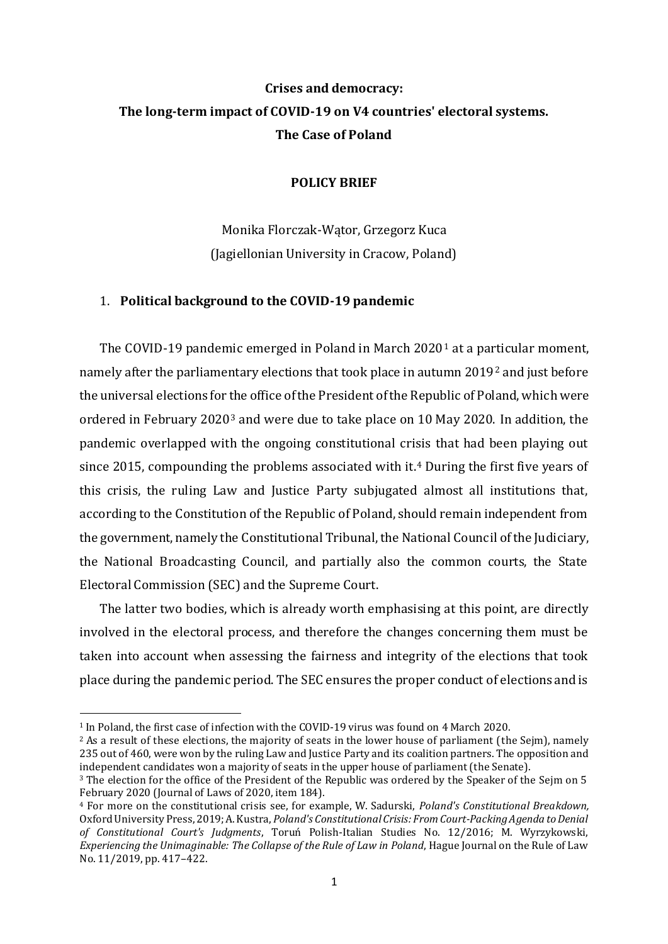# **Crises and democracy: The long-term impact of COVID-19 on V4 countries' electoral systems. The Case of Poland**

### **POLICY BRIEF**

Monika Florczak-Wątor, Grzegorz Kuca (Jagiellonian University in Cracow, Poland)

### 1. **Political background to the COVID-19 pandemic**

The COVID-19 pandemic emerged in Poland in March 2020<sup>1</sup> at a particular moment, namely after the parliamentary elections that took place in autumn 2019<sup>2</sup> and just before the universal elections for the office of the President of the Republic of Poland, which were ordered in February 2020<sup>3</sup> and were due to take place on 10 May 2020. In addition, the pandemic overlapped with the ongoing constitutional crisis that had been playing out since 2015, compounding the problems associated with it.<sup>4</sup> During the first five years of this crisis, the ruling Law and Justice Party subjugated almost all institutions that, according to the Constitution of the Republic of Poland, should remain independent from the government, namely the Constitutional Tribunal, the National Council of the Judiciary, the National Broadcasting Council, and partially also the common courts, the State Electoral Commission (SEC) and the Supreme Court.

The latter two bodies, which is already worth emphasising at this point, are directly involved in the electoral process, and therefore the changes concerning them must be taken into account when assessing the fairness and integrity of the elections that took place during the pandemic period. The SEC ensures the proper conduct of elections and is

<sup>1</sup> In Poland, the first case of infection with the COVID-19 virus was found on 4 March 2020.

 $2$  As a result of these elections, the majority of seats in the lower house of parliament (the Seim), namely 235 out of 460, were won by the ruling Law and Justice Party and its coalition partners. The opposition and independent candidates won a majority of seats in the upper house of parliament (the Senate).

<sup>3</sup> The election for the office of the President of the Republic was ordered by the Speaker of the Sejm on 5 February 2020 (Journal of Laws of 2020, item 184).

<sup>4</sup> For more on the constitutional crisis see, for example, W. Sadurski, *Poland's Constitutional Breakdown,*  Oxford University Press, 2019; A. Kustra, *Poland's Constitutional Crisis: From Court-Packing Agenda to Denial of Constitutional Court's Judgments*, Toruń Polish-Italian Studies No. 12/2016; M. Wyrzykowski, *Experiencing the Unimaginable: The Collapse of the Rule of Law in Poland*, Hague Journal on the Rule of Law No. 11/2019, pp. 417–422.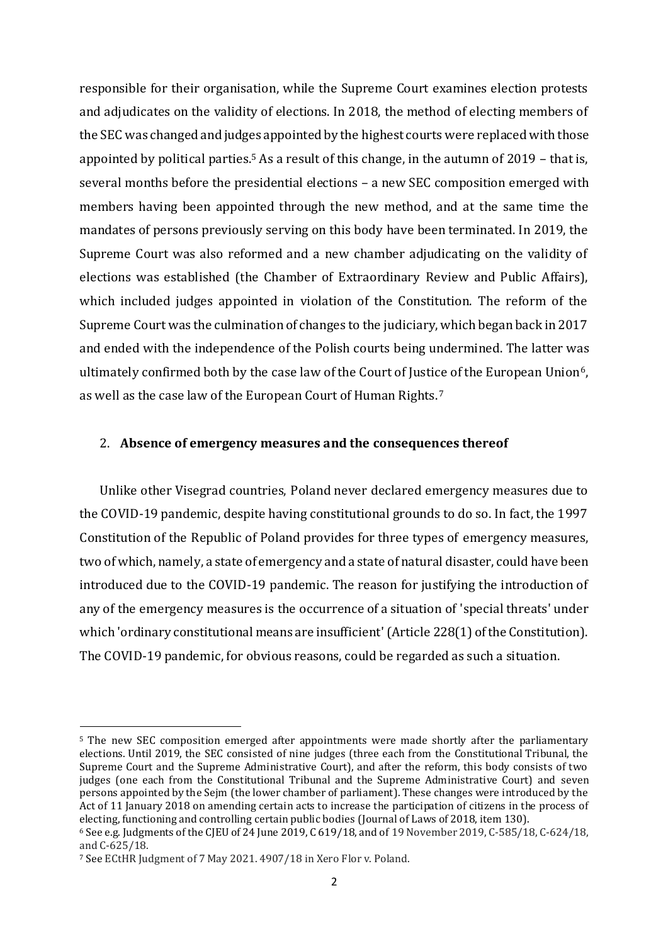responsible for their organisation, while the Supreme Court examines election protests and adjudicates on the validity of elections. In 2018, the method of electing members of the SEC was changed and judges appointed by the highest courts were replaced with those appointed by political parties.<sup>5</sup> As a result of this change, in the autumn of 2019 – that is, several months before the presidential elections – a new SEC composition emerged with members having been appointed through the new method, and at the same time the mandates of persons previously serving on this body have been terminated. In 2019, the Supreme Court was also reformed and a new chamber adjudicating on the validity of elections was established (the Chamber of Extraordinary Review and Public Affairs), which included judges appointed in violation of the Constitution. The reform of the Supreme Court was the culmination of changes to the judiciary, which began back in 2017 and ended with the independence of the Polish courts being undermined. The latter was ultimately confirmed both by the case law of the Court of Justice of the European Union<sup>6</sup>, as well as the case law of the European Court of Human Rights.<sup>7</sup>

#### 2. **Absence of emergency measures and the consequences thereof**

Unlike other Visegrad countries, Poland never declared emergency measures due to the COVID-19 pandemic, despite having constitutional grounds to do so. In fact, the 1997 Constitution of the Republic of Poland provides for three types of emergency measures, two of which, namely, a state of emergency and a state of natural disaster, could have been introduced due to the COVID-19 pandemic. The reason for justifying the introduction of any of the emergency measures is the occurrence of a situation of 'special threats' under which 'ordinary constitutional means are insufficient'(Article 228(1) of the Constitution). The COVID-19 pandemic, for obvious reasons, could be regarded as such a situation.

<sup>&</sup>lt;sup>5</sup> The new SEC composition emerged after appointments were made shortly after the parliamentary elections. Until 2019, the SEC consisted of nine judges (three each from the Constitutional Tribunal, the Supreme Court and the Supreme Administrative Court), and after the reform, this body consists of two judges (one each from the Constitutional Tribunal and the Supreme Administrative Court) and seven persons appointed by the Sejm (the lower chamber of parliament). These changes were introduced by the Act of 11 January 2018 on amending certain acts to increase the participation of citizens in the process of electing, functioning and controlling certain public bodies (Journal of Laws of 2018, item 130).

<sup>6</sup> See e.g. Judgments of the CJEU of 24 June 2019, C 619/18, and of 19 November 2019, C-585/18, C-624/18, and C-625/18.

<sup>7</sup> See ECtHR Judgment of 7 May 2021. 4907/18 in Xero Flor v. Poland.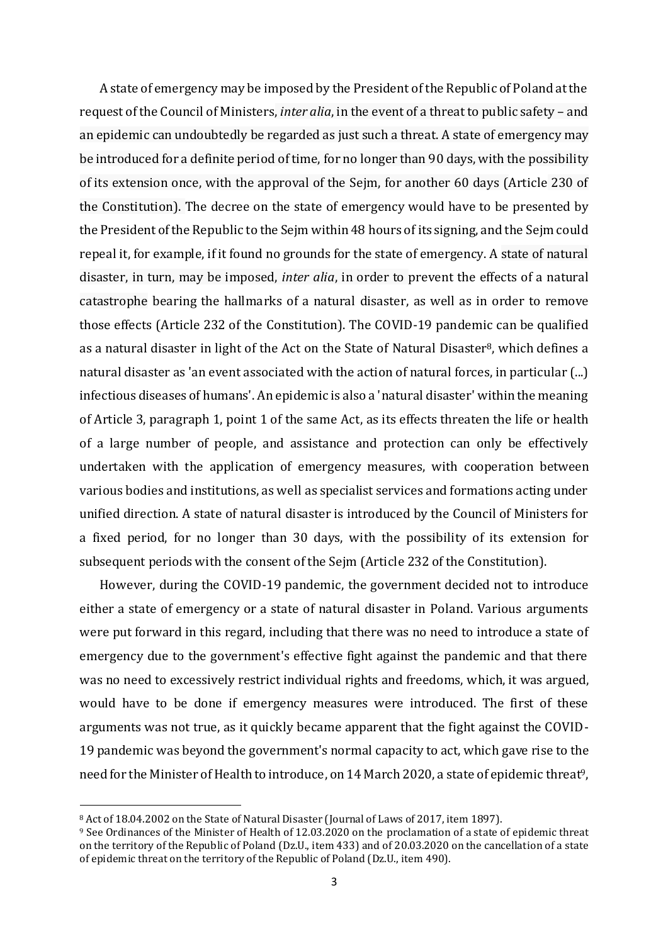A state of emergency may be imposed by the President of the Republic of Poland at the request of the Council of Ministers, *inter alia*, in the event of a threat to public safety – and an epidemic can undoubtedly be regarded as just such a threat. A state of emergency may be introduced for a definite period of time, for no longer than 90 days, with the possibility of its extension once, with the approval of the Sejm, for another 60 days (Article 230 of the Constitution). The decree on the state of emergency would have to be presented by the President of the Republic to the Sejm within 48 hours of its signing, and the Sejm could repeal it, for example, if it found no grounds for the state of emergency. A state of natural disaster, in turn, may be imposed, *inter alia*, in order to prevent the effects of a natural catastrophe bearing the hallmarks of a natural disaster, as well as in order to remove those effects (Article 232 of the Constitution). The COVID-19 pandemic can be qualified as a natural disaster in light of the Act on the State of Natural Disaster<sup>8</sup>, which defines a natural disaster as 'an event associated with the action of natural forces, in particular (...) infectious diseases of humans'. An epidemic is also a 'natural disaster' within the meaning of Article 3, paragraph 1, point 1 of the same Act, as its effects threaten the life or health of a large number of people, and assistance and protection can only be effectively undertaken with the application of emergency measures, with cooperation between various bodies and institutions, as well as specialist services and formations acting under unified direction. A state of natural disaster is introduced by the Council of Ministers for a fixed period, for no longer than 30 days, with the possibility of its extension for subsequent periods with the consent of the Sejm (Article 232 of the Constitution).

However, during the COVID-19 pandemic, the government decided not to introduce either a state of emergency or a state of natural disaster in Poland. Various arguments were put forward in this regard, including that there was no need to introduce a state of emergency due to the government's effective fight against the pandemic and that there was no need to excessively restrict individual rights and freedoms, which, it was argued, would have to be done if emergency measures were introduced. The first of these arguments was not true, as it quickly became apparent that the fight against the COVID-19 pandemic was beyond the government's normal capacity to act, which gave rise to the need for the Minister of Health to introduce, on 14 March 2020, a state of epidemic threat<sup>9</sup>,

<sup>8</sup> Act of 18.04.2002 on the State of Natural Disaster (Journal of Laws of 2017, item 1897).

<sup>&</sup>lt;sup>9</sup> See Ordinances of the Minister of Health of 12.03.2020 on the proclamation of a state of epidemic threat on the territory of the Republic of Poland (Dz.U., item 433) and of 20.03.2020 on the cancellation of a state of epidemic threat on the territory of the Republic of Poland (Dz.U., item 490).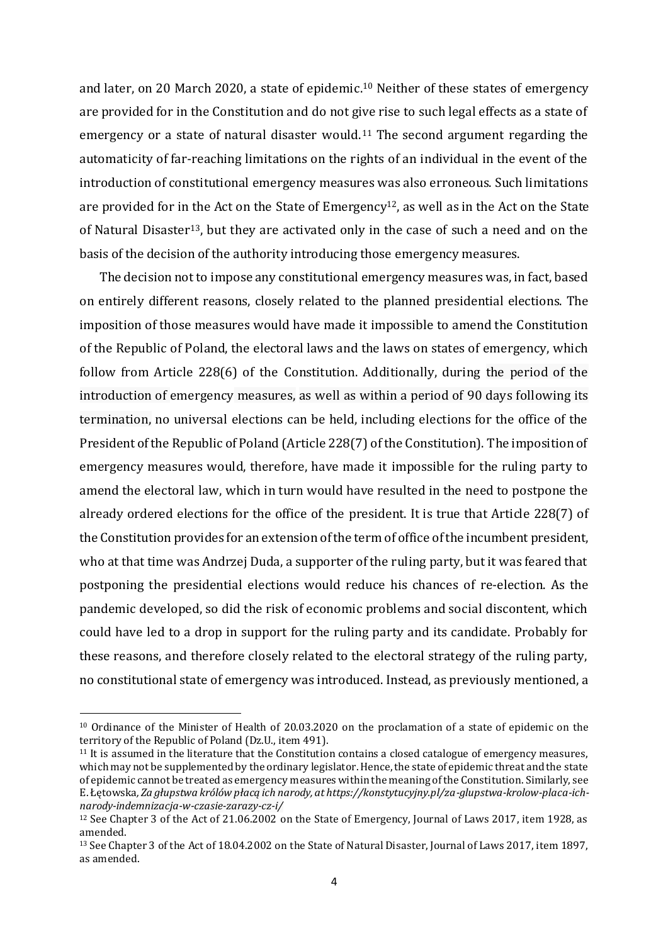and later, on 20 March 2020, a state of epidemic. <sup>10</sup> Neither of these states of emergency are provided for in the Constitution and do not give rise to such legal effects as a state of emergency or a state of natural disaster would. <sup>11</sup> The second argument regarding the automaticity of far-reaching limitations on the rights of an individual in the event of the introduction of constitutional emergency measures was also erroneous. Such limitations are provided for in the Act on the State of Emergency<sup>12</sup>, as well as in the Act on the State of Natural Disaster<sup>13</sup>, but they are activated only in the case of such a need and on the basis of the decision of the authority introducing those emergency measures.

The decision not to impose any constitutional emergency measures was, in fact, based on entirely different reasons, closely related to the planned presidential elections. The imposition of those measures would have made it impossible to amend the Constitution of the Republic of Poland, the electoral laws and the laws on states of emergency, which follow from Article 228(6) of the Constitution. Additionally, during the period of the introduction of emergency measures, as well as within a period of 90 days following its termination, no universal elections can be held, including elections for the office of the President of the Republic of Poland (Article 228(7) of the Constitution). The imposition of emergency measures would, therefore, have made it impossible for the ruling party to amend the electoral law, which in turn would have resulted in the need to postpone the already ordered elections for the office of the president. It is true that Article 228(7) of the Constitution provides for an extension of the term of office of the incumbent president, who at that time was Andrzej Duda, a supporter of the ruling party, but it was feared that postponing the presidential elections would reduce his chances of re-election. As the pandemic developed, so did the risk of economic problems and social discontent, which could have led to a drop in support for the ruling party and its candidate. Probably for these reasons, and therefore closely related to the electoral strategy of the ruling party, no constitutional state of emergency was introduced. Instead, as previously mentioned, a

<sup>10</sup> Ordinance of the Minister of Health of 20.03.2020 on the proclamation of a state of epidemic on the territory of the Republic of Poland (Dz.U., item 491).

 $11$  It is assumed in the literature that the Constitution contains a closed catalogue of emergency measures, which may not be supplemented by the ordinary legislator. Hence, the state of epidemic threat and the state of epidemic cannot be treated as emergency measures within the meaning of the Constitution. Similarly, see E. Łętowska*, Za głupstwa królów płacą ich narody, at https://konstytucyjny.pl/za-glupstwa-krolow-placa-ichnarody-indemnizacja-w-czasie-zarazy-cz-i/*

<sup>12</sup> See Chapter 3 of the Act of 21.06.2002 on the State of Emergency, Journal of Laws 2017, item 1928, as amended.

<sup>13</sup> See Chapter 3 of the Act of 18.04.2002 on the State of Natural Disaster, Journal of Laws 2017, item 1897, as amended.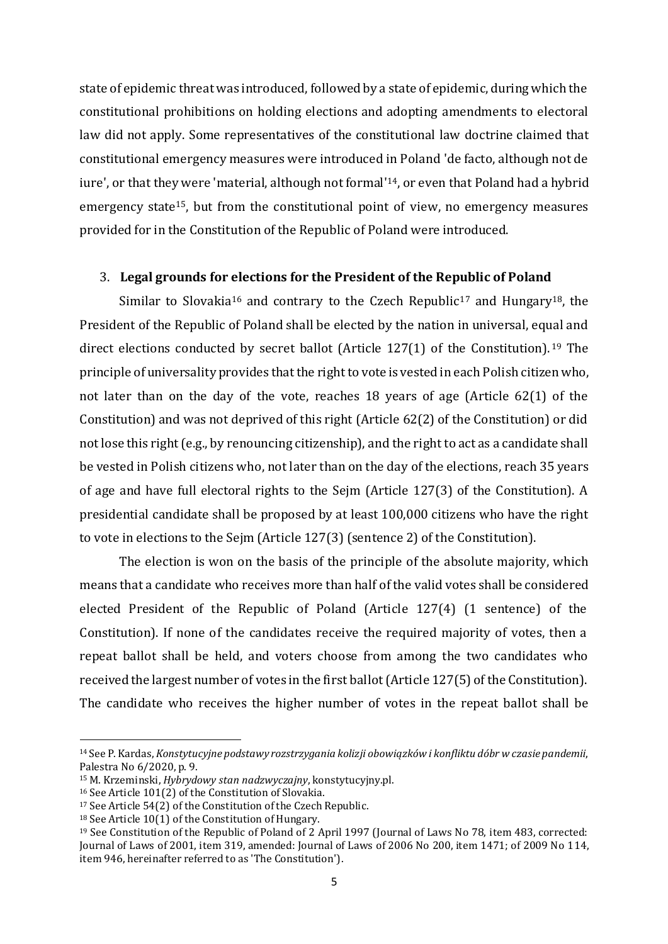state of epidemic threat was introduced, followed by a state of epidemic, during which the constitutional prohibitions on holding elections and adopting amendments to electoral law did not apply. Some representatives of the constitutional law doctrine claimed that constitutional emergency measures were introduced in Poland 'de facto, although not de iure', or that they were 'material, although not formal'<sup>14</sup>, or even that Poland had a hybrid emergency state15, but from the constitutional point of view, no emergency measures provided for in the Constitution of the Republic of Poland were introduced.

### 3. **Legal grounds for elections for the President of the Republic of Poland**

Similar to Slovakia<sup>16</sup> and contrary to the Czech Republic<sup>17</sup> and Hungary<sup>18</sup>, the President of the Republic of Poland shall be elected by the nation in universal, equal and direct elections conducted by secret ballot (Article 127(1) of the Constitution). <sup>19</sup> The principle of universality provides that the right to vote is vested in each Polish citizen who, not later than on the day of the vote, reaches 18 years of age (Article 62(1) of the Constitution) and was not deprived of this right (Article 62(2) of the Constitution) or did not lose this right (e.g., by renouncing citizenship), and the right to act as a candidate shall be vested in Polish citizens who, not later than on the day of the elections, reach 35 years of age and have full electoral rights to the Sejm (Article 127(3) of the Constitution). A presidential candidate shall be proposed by at least 100,000 citizens who have the right to vote in elections to the Sejm (Article 127(3) (sentence 2) of the Constitution).

The election is won on the basis of the principle of the absolute majority, which means that a candidate who receives more than half of the valid votes shall be considered elected President of the Republic of Poland (Article 127(4) (1 sentence) of the Constitution). If none of the candidates receive the required majority of votes, then a repeat ballot shall be held, and voters choose from among the two candidates who received the largest number of votes in the first ballot (Article 127(5) of the Constitution). The candidate who receives the higher number of votes in the repeat ballot shall be

<sup>14</sup> See P. Kardas, *Konstytucyjne podstawy rozstrzygania kolizji obowiązków i konfliktu dóbr w czasie pandemii*, Palestra No 6/2020, p. 9.

<sup>15</sup> M. Krzeminski, *Hybrydowy stan nadzwyczajny*, konstytucyjny.pl.

<sup>16</sup> See Article 101(2) of the Constitution of Slovakia.

<sup>17</sup> See Article 54(2) of the Constitution of the Czech Republic.

<sup>18</sup> See Article 10(1) of the Constitution of Hungary.

<sup>19</sup> See Constitution of the Republic of Poland of 2 April 1997 (Journal of Laws No 78, item 483, corrected: Journal of Laws of 2001, item 319, amended: Journal of Laws of 2006 No 200, item 1471; of 2009 No 114, item 946, hereinafter referred to as 'The Constitution').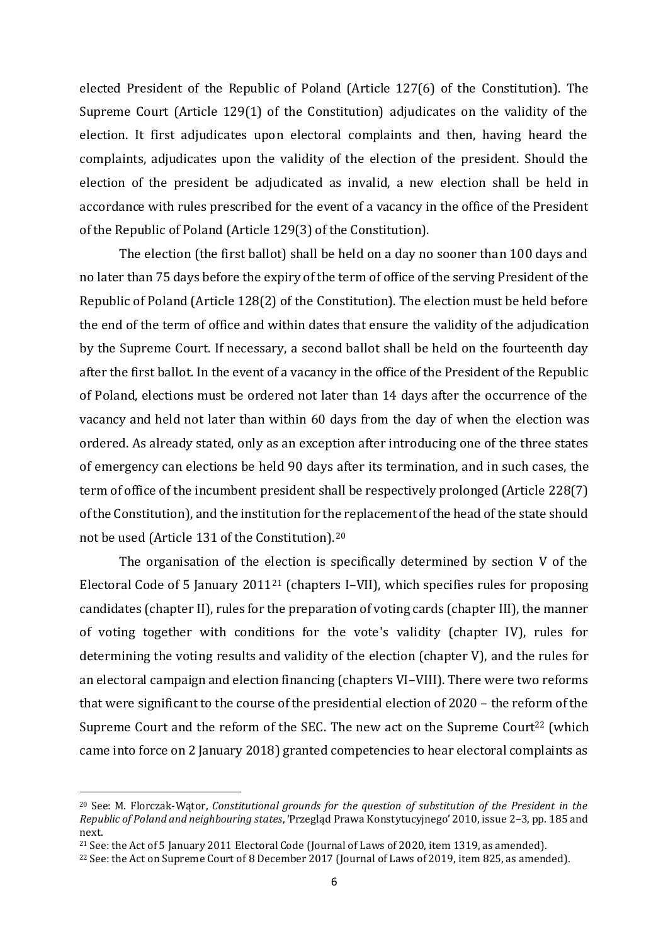elected President of the Republic of Poland (Article 127(6) of the Constitution). The Supreme Court (Article 129(1) of the Constitution) adjudicates on the validity of the election. It first adjudicates upon electoral complaints and then, having heard the complaints, adjudicates upon the validity of the election of the president. Should the election of the president be adjudicated as invalid, a new election shall be held in accordance with rules prescribed for the event of a vacancy in the office of the President of the Republic of Poland (Article 129(3) of the Constitution).

The election (the first ballot) shall be held on a day no sooner than 100 days and no later than 75 days before the expiry of the term of office of the serving President of the Republic of Poland (Article 128(2) of the Constitution). The election must be held before the end of the term of office and within dates that ensure the validity of the adjudication by the Supreme Court. If necessary, a second ballot shall be held on the fourteenth day after the first ballot. In the event of a vacancy in the office of the President of the Republic of Poland, elections must be ordered not later than 14 days after the occurrence of the vacancy and held not later than within 60 days from the day of when the election was ordered. As already stated, only as an exception after introducing one of the three states of emergency can elections be held 90 days after its termination, and in such cases, the term of office of the incumbent president shall be respectively prolonged (Article 228(7) of the Constitution), and the institution for the replacement of the head of the state should not be used (Article 131 of the Constitution).<sup>20</sup>

The organisation of the election is specifically determined by section V of the Electoral Code of 5 January 2011<sup>21</sup> (chapters I–VII), which specifies rules for proposing candidates (chapter II), rules for the preparation of voting cards (chapter III), the manner of voting together with conditions for the vote's validity (chapter IV), rules for determining the voting results and validity of the election (chapter V), and the rules for an electoral campaign and election financing (chapters VI–VIII). There were two reforms that were significant to the course of the presidential election of 2020 – the reform of the Supreme Court and the reform of the SEC. The new act on the Supreme Court<sup>22</sup> (which came into force on 2 January 2018) granted competencies to hear electoral complaints as

<sup>20</sup> See: M. Florczak-Wątor, *Constitutional grounds for the question of substitution of the President in the Republic of Poland and neighbouring states*, 'Przegląd Prawa Konstytucyjnego' 2010, issue 2–3, pp. 185 and next.

<sup>21</sup> See: the Act of 5 January 2011 Electoral Code (Journal of Laws of 2020, item 1319, as amended).

<sup>22</sup> See: the Act on Supreme Court of 8 December 2017 (Journal of Laws of 2019, item 825, as amended).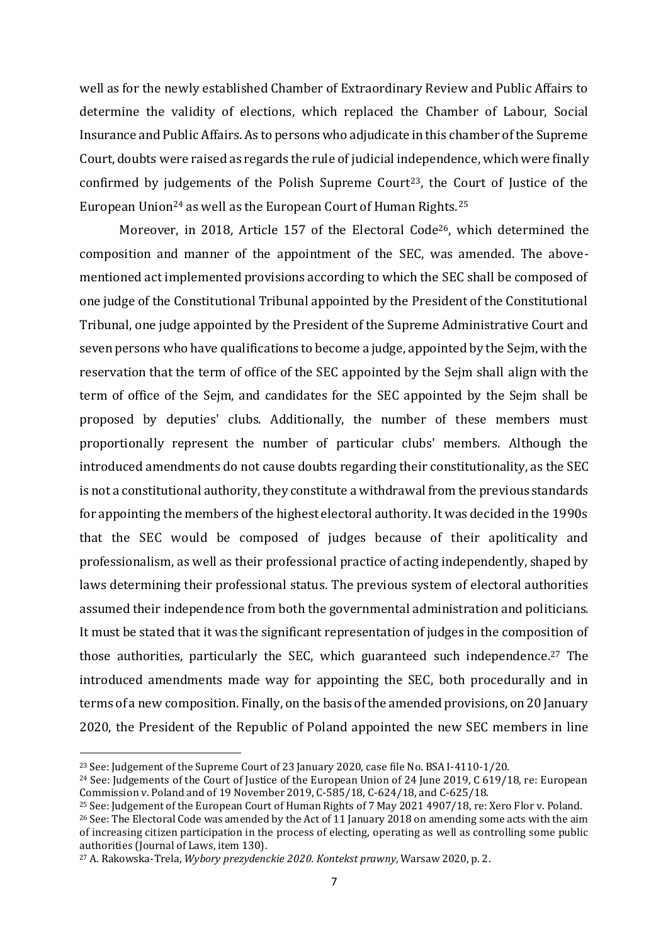well as for the newly established Chamber of Extraordinary Review and Public Affairs to determine the validity of elections, which replaced the Chamber of Labour, Social Insurance and Public Affairs. As to persons who adjudicate in this chamber of the Supreme Court, doubts were raised as regards the rule of judicial independence, which were finally confirmed by judgements of the Polish Supreme Court<sup>23</sup>, the Court of Justice of the European Union<sup>24</sup> as well as the European Court of Human Rights.<sup>25</sup>

Moreover, in 2018, Article 157 of the Electoral Code<sup>26</sup>, which determined the composition and manner of the appointment of the SEC, was amended. The abovementioned act implemented provisions according to which the SEC shall be composed of one judge of the Constitutional Tribunal appointed by the President of the Constitutional Tribunal, one judge appointed by the President of the Supreme Administrative Court and seven persons who have qualifications to become a judge, appointed by the Sejm, with the reservation that the term of office of the SEC appointed by the Sejm shall align with the term of office of the Sejm, and candidates for the SEC appointed by the Sejm shall be proposed by deputies' clubs. Additionally, the number of these members must proportionally represent the number of particular clubs' members. Although the introduced amendments do not cause doubts regarding their constitutionality, as the SEC is not a constitutional authority, they constitute a withdrawal from the previous standards for appointing the members of the highest electoral authority. It was decided in the 1990s that the SEC would be composed of judges because of their apoliticality and professionalism, as well as their professional practice of acting independently, shaped by laws determining their professional status. The previous system of electoral authorities assumed their independence from both the governmental administration and politicians. It must be stated that it was the significant representation of judges in the composition of those authorities, particularly the SEC, which guaranteed such independence. <sup>27</sup> The introduced amendments made way for appointing the SEC, both procedurally and in terms of a new composition. Finally, on the basis of the amended provisions, on 20 January 2020, the President of the Republic of Poland appointed the new SEC members in line

<sup>23</sup> See: Judgement of the Supreme Court of 23 January 2020, case file No. BSA I-4110-1/20.

<sup>24</sup> See: Judgements of the Court of Justice of the European Union of 24 June 2019, C 619/18, re: European Commission v. Poland and of 19 November 2019, C-585/18, C-624/18, and C-625/18.

<sup>25</sup> See: Judgement of the European Court of Human Rights of 7 May 2021 4907/18, re: Xero Flor v. Poland.

<sup>&</sup>lt;sup>26</sup> See: The Electoral Code was amended by the Act of 11 January 2018 on amending some acts with the aim of increasing citizen participation in the process of electing, operating as well as controlling some public authorities (Journal of Laws, item 130).

<sup>27</sup> A. Rakowska-Trela, *Wybory prezydenckie 2020. Kontekst prawny*, Warsaw 2020, p. 2.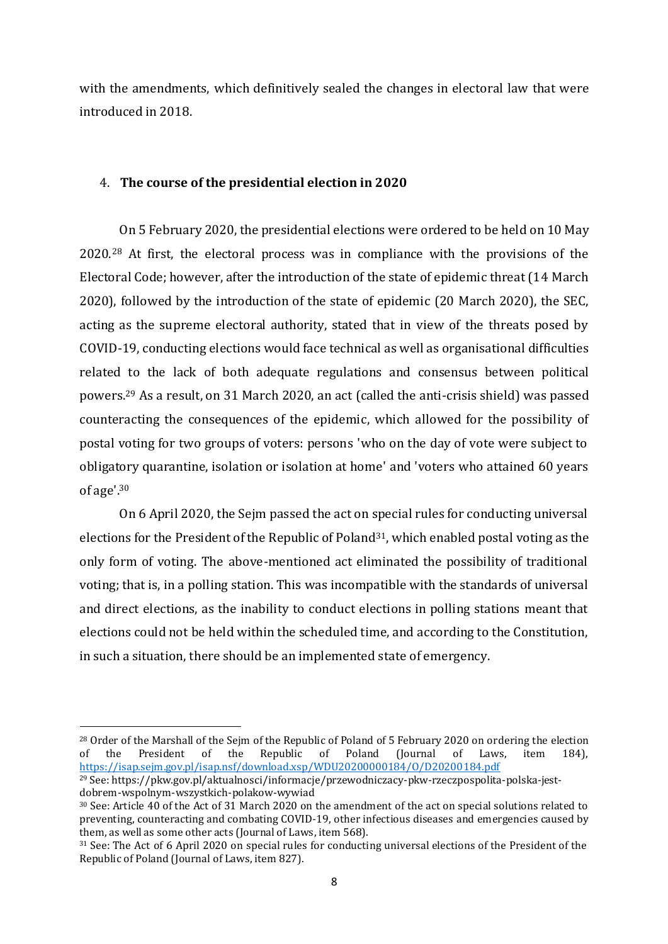with the amendments, which definitively sealed the changes in electoral law that were introduced in 2018.

## 4. **The course of the presidential election in 2020**

On 5 February 2020, the presidential elections were ordered to be held on 10 May 2020. <sup>28</sup> At first, the electoral process was in compliance with the provisions of the Electoral Code; however, after the introduction of the state of epidemic threat (14 March 2020), followed by the introduction of the state of epidemic (20 March 2020), the SEC, acting as the supreme electoral authority, stated that in view of the threats posed by COVID-19, conducting elections would face technical as well as organisational difficulties related to the lack of both adequate regulations and consensus between political powers.<sup>29</sup> As a result, on 31 March 2020, an act (called the anti-crisis shield) was passed counteracting the consequences of the epidemic, which allowed for the possibility of postal voting for two groups of voters: persons 'who on the day of vote were subject to obligatory quarantine, isolation or isolation at home' and 'voters who attained 60 years of age'. 30

On 6 April 2020, the Sejm passed the act on special rules for conducting universal elections for the President of the Republic of Poland<sup>31</sup>, which enabled postal voting as the only form of voting. The above-mentioned act eliminated the possibility of traditional voting; that is, in a polling station. This was incompatible with the standards of universal and direct elections, as the inability to conduct elections in polling stations meant that elections could not be held within the scheduled time, and according to the Constitution, in such a situation, there should be an implemented state of emergency.

<sup>&</sup>lt;sup>28</sup> Order of the Marshall of the Sejm of the Republic of Poland of 5 February 2020 on ordering the election of the President of the Republic of Poland (Journal of Laws, item 184), <https://isap.sejm.gov.pl/isap.nsf/download.xsp/WDU20200000184/O/D20200184.pdf>

<sup>29</sup> See: https://pkw.gov.pl/aktualnosci/informacje/przewodniczacy-pkw-rzeczpospolita-polska-jestdobrem-wspolnym-wszystkich-polakow-wywiad

<sup>30</sup> See: Article 40 of the Act of 31 March 2020 on the amendment of the act on special solutions related to preventing, counteracting and combating COVID-19, other infectious diseases and emergencies caused by them, as well as some other acts (Journal of Laws, item 568).

<sup>31</sup> See: The Act of 6 April 2020 on special rules for conducting universal elections of the President of the Republic of Poland (Journal of Laws, item 827).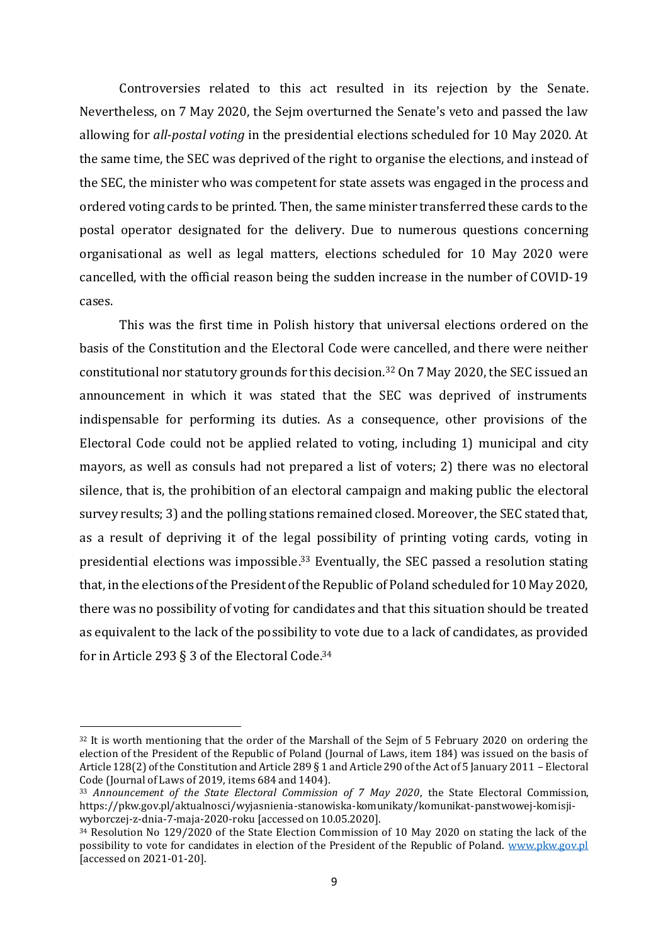Controversies related to this act resulted in its rejection by the Senate. Nevertheless, on 7 May 2020, the Sejm overturned the Senate's veto and passed the law allowing for *all-postal voting* in the presidential elections scheduled for 10 May 2020. At the same time, the SEC was deprived of the right to organise the elections, and instead of the SEC, the minister who was competent for state assets was engaged in the process and ordered voting cards to be printed. Then, the same minister transferred these cards to the postal operator designated for the delivery. Due to numerous questions concerning organisational as well as legal matters, elections scheduled for 10 May 2020 were cancelled, with the official reason being the sudden increase in the number of COVID-19 cases.

This was the first time in Polish history that universal elections ordered on the basis of the Constitution and the Electoral Code were cancelled, and there were neither constitutional nor statutory grounds for this decision.<sup>32</sup> On 7 May 2020, the SEC issued an announcement in which it was stated that the SEC was deprived of instruments indispensable for performing its duties. As a consequence, other provisions of the Electoral Code could not be applied related to voting, including 1) municipal and city mayors, as well as consuls had not prepared a list of voters; 2) there was no electoral silence, that is, the prohibition of an electoral campaign and making public the electoral survey results; 3) and the polling stations remained closed. Moreover, the SEC stated that, as a result of depriving it of the legal possibility of printing voting cards, voting in presidential elections was impossible. <sup>33</sup> Eventually, the SEC passed a resolution stating that, in the elections of the President of the Republic of Poland scheduled for 10 May 2020, there was no possibility of voting for candidates and that this situation should be treated as equivalent to the lack of the possibility to vote due to a lack of candidates, as provided for in Article 293 § 3 of the Electoral Code.<sup>34</sup>

<sup>&</sup>lt;sup>32</sup> It is worth mentioning that the order of the Marshall of the Sejm of 5 February 2020 on ordering the election of the President of the Republic of Poland (Journal of Laws, item 184) was issued on the basis of Article 128(2) of the Constitution and Article 289 § 1 and Article 290 of the Act of 5 January 2011 – Electoral Code (Journal of Laws of 2019, items 684 and 1404).

<sup>33</sup> *Announcement of the State Electoral Commission of 7 May 2020*, the State Electoral Commission, https://pkw.gov.pl/aktualnosci/wyjasnienia-stanowiska-komunikaty/komunikat-panstwowej-komisjiwyborczej-z-dnia-7-maja-2020-roku [accessed on 10.05.2020].

<sup>&</sup>lt;sup>34</sup> Resolution No 129/2020 of the State Election Commission of 10 May 2020 on stating the lack of the possibility to vote for candidates in election of the President of the Republic of Poland. [www.pkw.gov.pl](http://www.pkw.gov.pl/) [accessed on 2021-01-20].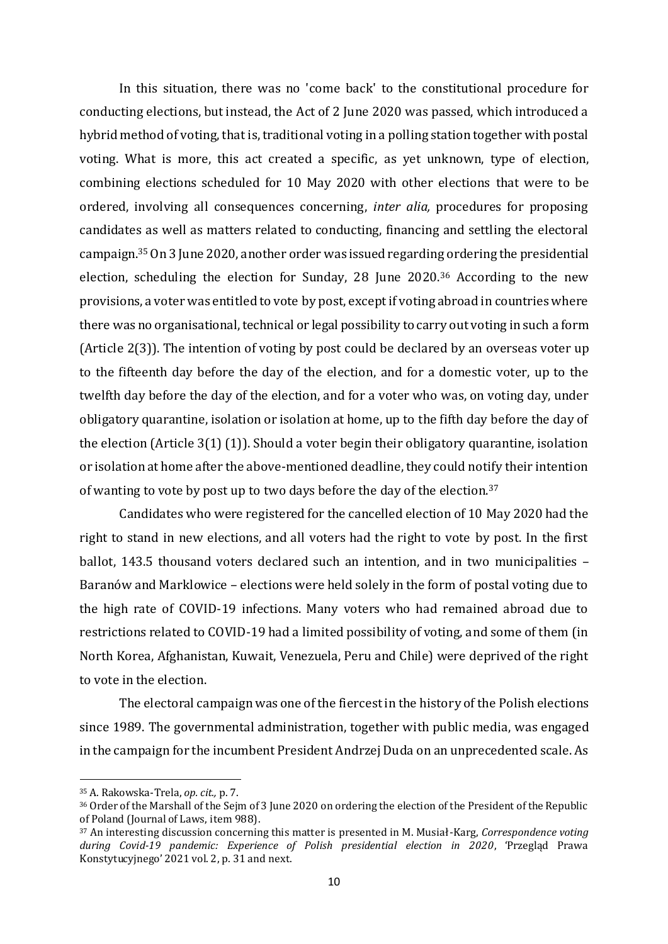In this situation, there was no 'come back' to the constitutional procedure for conducting elections, but instead, the Act of 2 June 2020 was passed, which introduced a hybrid method of voting, that is, traditional voting in a polling station together with postal voting. What is more, this act created a specific, as yet unknown, type of election, combining elections scheduled for 10 May 2020 with other elections that were to be ordered, involving all consequences concerning, *inter alia,* procedures for proposing candidates as well as matters related to conducting, financing and settling the electoral campaign.<sup>35</sup> On 3 June 2020, another order was issued regarding ordering the presidential election, scheduling the election for Sunday, 28 June 2020. <sup>36</sup> According to the new provisions, a voter was entitled to vote by post, except if voting abroad in countries where there was no organisational, technical or legal possibility to carry out voting in such a form (Article 2(3)). The intention of voting by post could be declared by an overseas voter up to the fifteenth day before the day of the election, and for a domestic voter, up to the twelfth day before the day of the election, and for a voter who was, on voting day, under obligatory quarantine, isolation or isolation at home, up to the fifth day before the day of the election (Article 3(1) (1)). Should a voter begin their obligatory quarantine, isolation or isolation at home after the above-mentioned deadline, they could notify their intention of wanting to vote by post up to two days before the day of the election.<sup>37</sup>

Candidates who were registered for the cancelled election of 10 May 2020 had the right to stand in new elections, and all voters had the right to vote by post. In the first ballot, 143.5 thousand voters declared such an intention, and in two municipalities – Baranów and Marklowice – elections were held solely in the form of postal voting due to the high rate of COVID-19 infections. Many voters who had remained abroad due to restrictions related to COVID-19 had a limited possibility of voting, and some of them (in North Korea, Afghanistan, Kuwait, Venezuela, Peru and Chile) were deprived of the right to vote in the election.

The electoral campaign was one of the fiercest in the history of the Polish elections since 1989. The governmental administration, together with public media, was engaged in the campaign for the incumbent President Andrzej Duda on an unprecedented scale. As

<sup>35</sup> A. Rakowska-Trela, *op. cit.,* p. 7.

<sup>36</sup> Order of the Marshall of the Sejm of 3 June 2020 on ordering the election of the President of the Republic of Poland (Journal of Laws, item 988).

<sup>37</sup> An interesting discussion concerning this matter is presented in M. Musiał-Karg, *Correspondence voting during Covid-19 pandemic: Experience of Polish presidential election in 2020*, 'Przegląd Prawa Konstytucyjnego' 2021 vol. 2, p. 31 and next.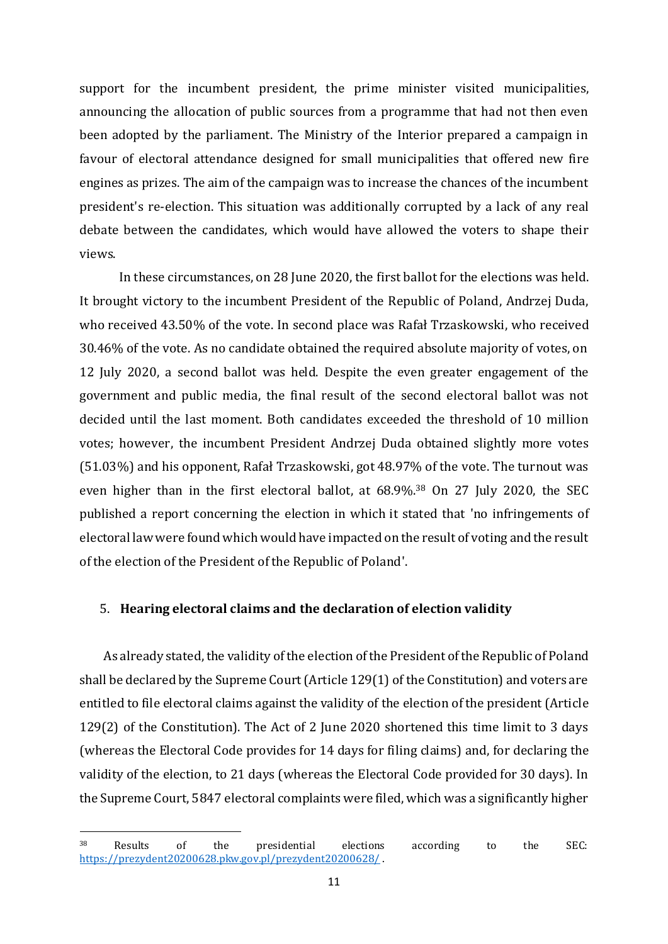support for the incumbent president, the prime minister visited municipalities, announcing the allocation of public sources from a programme that had not then even been adopted by the parliament. The Ministry of the Interior prepared a campaign in favour of electoral attendance designed for small municipalities that offered new fire engines as prizes. The aim of the campaign was to increase the chances of the incumbent president's re-election. This situation was additionally corrupted by a lack of any real debate between the candidates, which would have allowed the voters to shape their views.

In these circumstances, on 28 June 2020, the first ballot for the elections was held. It brought victory to the incumbent President of the Republic of Poland, Andrzej Duda, who received 43.50% of the vote. In second place was Rafał Trzaskowski, who received 30.46% of the vote. As no candidate obtained the required absolute majority of votes, on 12 July 2020, a second ballot was held. Despite the even greater engagement of the government and public media, the final result of the second electoral ballot was not decided until the last moment. Both candidates exceeded the threshold of 10 million votes; however, the incumbent President Andrzej Duda obtained slightly more votes (51.03%) and his opponent, Rafał Trzaskowski, got 48.97% of the vote. The turnout was even higher than in the first electoral ballot, at 68.9%. <sup>38</sup> On 27 July 2020, the SEC published a report concerning the election in which it stated that 'no infringements of electoral law were found which would have impacted on the result of voting and the result of the election of the President of the Republic of Poland'.

### 5. **Hearing electoral claims and the declaration of election validity**

As already stated, the validity of the election of the President of the Republic of Poland shall be declared by the Supreme Court (Article 129(1) of the Constitution) and voters are entitled to file electoral claims against the validity of the election of the president (Article 129(2) of the Constitution). The Act of 2 June 2020 shortened this time limit to 3 days (whereas the Electoral Code provides for 14 days for filing claims) and, for declaring the validity of the election, to 21 days (whereas the Electoral Code provided for 30 days). In the Supreme Court, 5847 electoral complaints were filed, which was a significantly higher

<sup>38</sup> Results of the presidential elections according to the SEC: <https://prezydent20200628.pkw.gov.pl/prezydent20200628/> .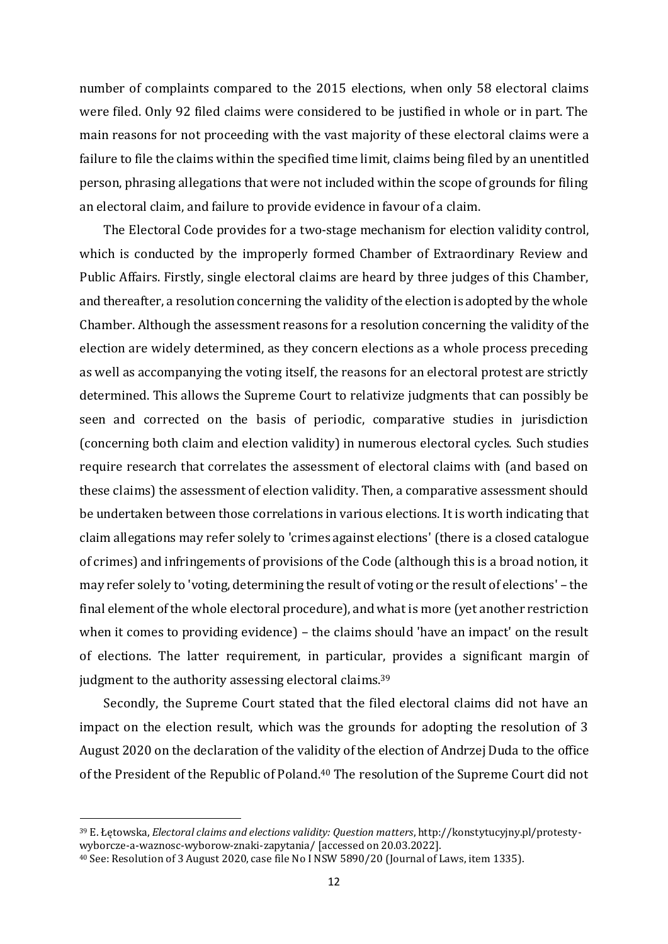number of complaints compared to the 2015 elections, when only 58 electoral claims were filed. Only 92 filed claims were considered to be justified in whole or in part. The main reasons for not proceeding with the vast majority of these electoral claims were a failure to file the claims within the specified time limit, claims being filed by an unentitled person, phrasing allegations that were not included within the scope of grounds for filing an electoral claim, and failure to provide evidence in favour of a claim.

The Electoral Code provides for a two-stage mechanism for election validity control, which is conducted by the improperly formed Chamber of Extraordinary Review and Public Affairs. Firstly, single electoral claims are heard by three judges of this Chamber, and thereafter, a resolution concerning the validity of the election is adopted by the whole Chamber. Although the assessment reasons for a resolution concerning the validity of the election are widely determined, as they concern elections as a whole process preceding as well as accompanying the voting itself, the reasons for an electoral protest are strictly determined. This allows the Supreme Court to relativize judgments that can possibly be seen and corrected on the basis of periodic, comparative studies in jurisdiction (concerning both claim and election validity) in numerous electoral cycles. Such studies require research that correlates the assessment of electoral claims with (and based on these claims) the assessment of election validity. Then, a comparative assessment should be undertaken between those correlations in various elections. It is worth indicating that claim allegations may refer solely to 'crimes against elections' (there is a closed catalogue of crimes) and infringements of provisions of the Code (although this is a broad notion, it may refer solely to 'voting, determining the result of voting or the result of elections' – the final element of the whole electoral procedure), and what is more (yet another restriction when it comes to providing evidence) – the claims should 'have an impact' on the result of elections. The latter requirement, in particular, provides a significant margin of judgment to the authority assessing electoral claims.<sup>39</sup>

Secondly, the Supreme Court stated that the filed electoral claims did not have an impact on the election result, which was the grounds for adopting the resolution of 3 August 2020 on the declaration of the validity of the election of Andrzej Duda to the office of the President of the Republic of Poland. <sup>40</sup> The resolution of the Supreme Court did not

<sup>39</sup> E. Łętowska, *Electoral claims and elections validity: Question matters*, http://konstytucyjny.pl/protestywyborcze-a-waznosc-wyborow-znaki-zapytania/ [accessed on 20.03.2022].

<sup>40</sup> See: Resolution of 3 August 2020, case file No I NSW 5890/20 (Journal of Laws, item 1335).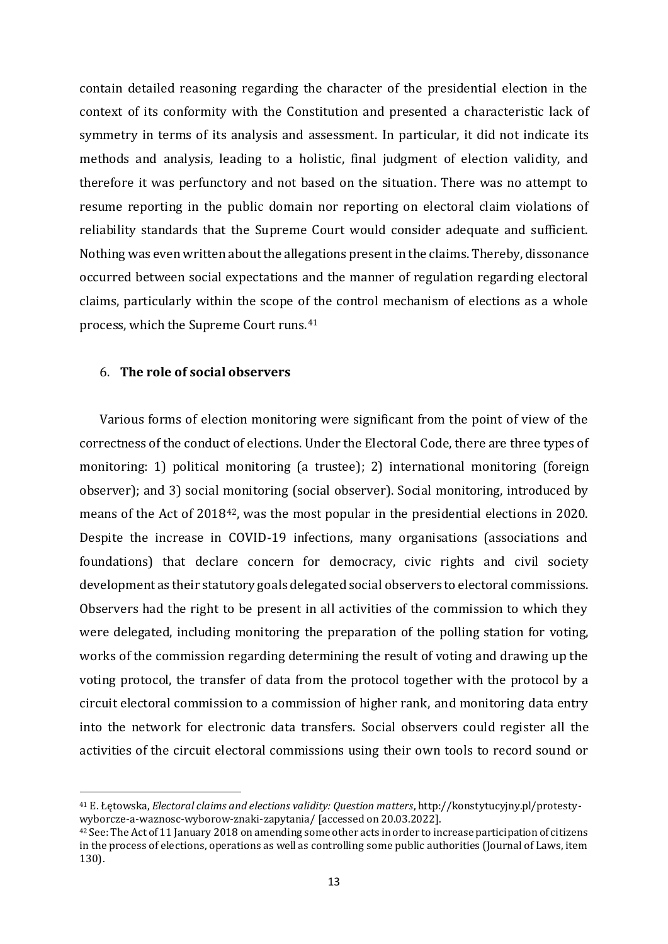contain detailed reasoning regarding the character of the presidential election in the context of its conformity with the Constitution and presented a characteristic lack of symmetry in terms of its analysis and assessment. In particular, it did not indicate its methods and analysis, leading to a holistic, final judgment of election validity, and therefore it was perfunctory and not based on the situation. There was no attempt to resume reporting in the public domain nor reporting on electoral claim violations of reliability standards that the Supreme Court would consider adequate and sufficient. Nothing was even written about the allegations present in the claims. Thereby, dissonance occurred between social expectations and the manner of regulation regarding electoral claims, particularly within the scope of the control mechanism of elections as a whole process, which the Supreme Court runs.<sup>41</sup>

#### 6. **The role of social observers**

 $\overline{a}$ 

Various forms of election monitoring were significant from the point of view of the correctness of the conduct of elections. Under the Electoral Code, there are three types of monitoring: 1) political monitoring (a trustee); 2) international monitoring (foreign observer); and 3) social monitoring (social observer). Social monitoring, introduced by means of the Act of 201842, was the most popular in the presidential elections in 2020. Despite the increase in COVID-19 infections, many organisations (associations and foundations) that declare concern for democracy, civic rights and civil society development as their statutory goals delegated social observers to electoral commissions. Observers had the right to be present in all activities of the commission to which they were delegated, including monitoring the preparation of the polling station for voting, works of the commission regarding determining the result of voting and drawing up the voting protocol, the transfer of data from the protocol together with the protocol by a circuit electoral commission to a commission of higher rank, and monitoring data entry into the network for electronic data transfers. Social observers could register all the activities of the circuit electoral commissions using their own tools to record sound or

<sup>41</sup> E. Łętowska, *Electoral claims and elections validity: Question matters*, http://konstytucyjny.pl/protestywyborcze-a-waznosc-wyborow-znaki-zapytania/ [accessed on 20.03.2022].

 $42$  See: The Act of 11 January 2018 on amending some other acts in order to increase participation of citizens in the process of elections, operations as well as controlling some public authorities (Journal of Laws, item 130).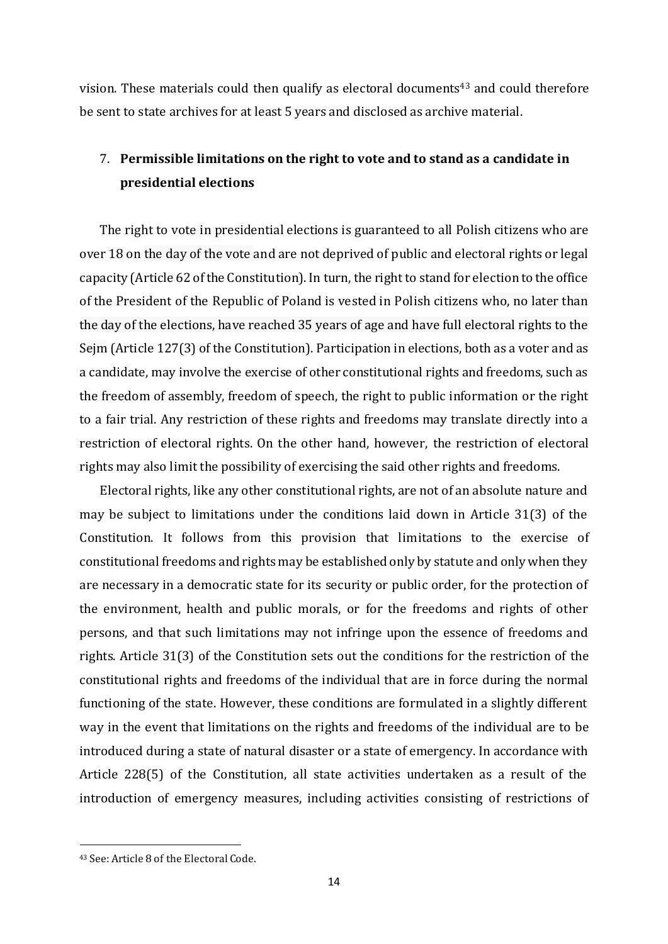vision. These materials could then qualify as electoral documents<sup>43</sup> and could therefore be sent to state archives for at least 5 years and disclosed as archive material.

# 7. **Permissible limitations on the right to vote and to stand as a candidate in presidential elections**

The right to vote in presidential elections is guaranteed to all Polish citizens who are over 18 on the day of the vote and are not deprived of public and electoral rights or legal capacity (Article 62 of the Constitution). In turn, the right to stand for election to the office of the President of the Republic of Poland is vested in Polish citizens who, no later than the day of the elections, have reached 35 years of age and have full electoral rights to the Sejm (Article 127(3) of the Constitution). Participation in elections, both as a voter and as a candidate, may involve the exercise of other constitutional rights and freedoms, such as the freedom of assembly, freedom of speech, the right to public information or the right to a fair trial. Any restriction of these rights and freedoms may translate directly into a restriction of electoral rights. On the other hand, however, the restriction of electoral rights may also limit the possibility of exercising the said other rights and freedoms.

Electoral rights, like any other constitutional rights, are not of an absolute nature and may be subject to limitations under the conditions laid down in Article 31(3) of the Constitution. It follows from this provision that limitations to the exercise of constitutional freedoms and rights may be established only by statute and only when they are necessary in a democratic state for its security or public order, for the protection of the environment, health and public morals, or for the freedoms and rights of other persons, and that such limitations may not infringe upon the essence of freedoms and rights. Article 31(3) of the Constitution sets out the conditions for the restriction of the constitutional rights and freedoms of the individual that are in force during the normal functioning of the state. However, these conditions are formulated in a slightly different way in the event that limitations on the rights and freedoms of the individual are to be introduced during a state of natural disaster or a state of emergency. In accordance with Article 228(5) of the Constitution, all state activities undertaken as a result of the introduction of emergency measures, including activities consisting of restrictions of

<sup>43</sup> See: Article 8 of the Electoral Code.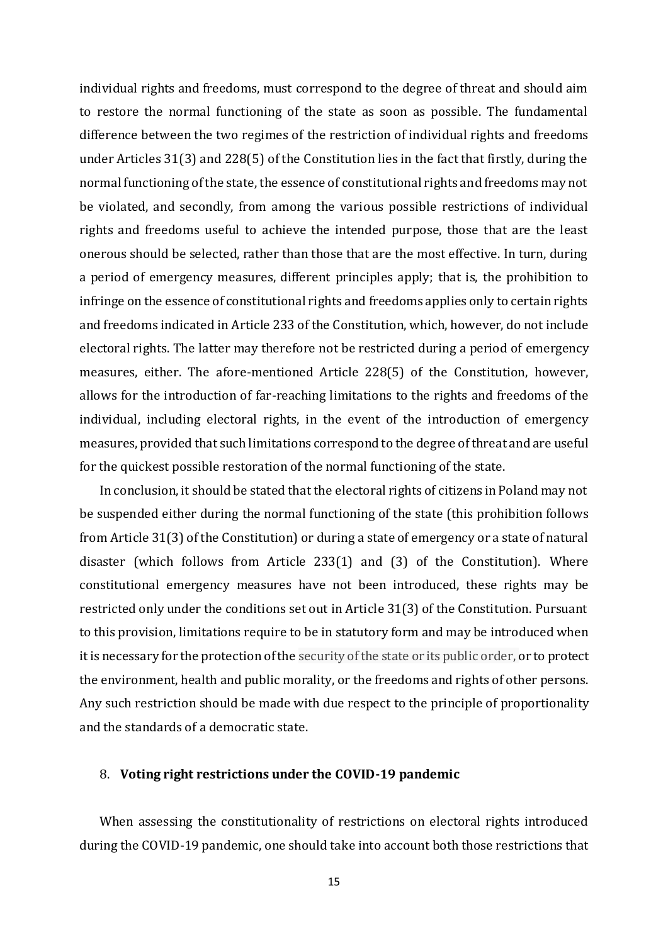individual rights and freedoms, must correspond to the degree of threat and should aim to restore the normal functioning of the state as soon as possible. The fundamental difference between the two regimes of the restriction of individual rights and freedoms under Articles 31(3) and 228(5) of the Constitution lies in the fact that firstly, during the normal functioning of the state, the essence of constitutional rights and freedoms may not be violated, and secondly, from among the various possible restrictions of individual rights and freedoms useful to achieve the intended purpose, those that are the least onerous should be selected, rather than those that are the most effective. In turn, during a period of emergency measures, different principles apply; that is, the prohibition to infringe on the essence of constitutional rights and freedoms applies only to certain rights and freedoms indicated in Article 233 of the Constitution, which, however, do not include electoral rights. The latter may therefore not be restricted during a period of emergency measures, either. The afore-mentioned Article 228(5) of the Constitution, however, allows for the introduction of far-reaching limitations to the rights and freedoms of the individual, including electoral rights, in the event of the introduction of emergency measures, provided that such limitations correspond to the degree of threat and are useful for the quickest possible restoration of the normal functioning of the state.

In conclusion, it should be stated that the electoral rights of citizens in Poland may not be suspended either during the normal functioning of the state (this prohibition follows from Article 31(3) of the Constitution) or during a state of emergency or a state of natural disaster (which follows from Article 233(1) and (3) of the Constitution). Where constitutional emergency measures have not been introduced, these rights may be restricted only under the conditions set out in Article 31(3) of the Constitution. Pursuant to this provision, limitations require to be in statutory form and may be introduced when it is necessary for the protection of the security of the state or its public order, or to protect the environment, health and public morality, or the freedoms and rights of other persons. Any such restriction should be made with due respect to the principle of proportionality and the standards of a democratic state.

#### 8. **Voting right restrictions under the COVID-19 pandemic**

When assessing the constitutionality of restrictions on electoral rights introduced during the COVID-19 pandemic, one should take into account both those restrictions that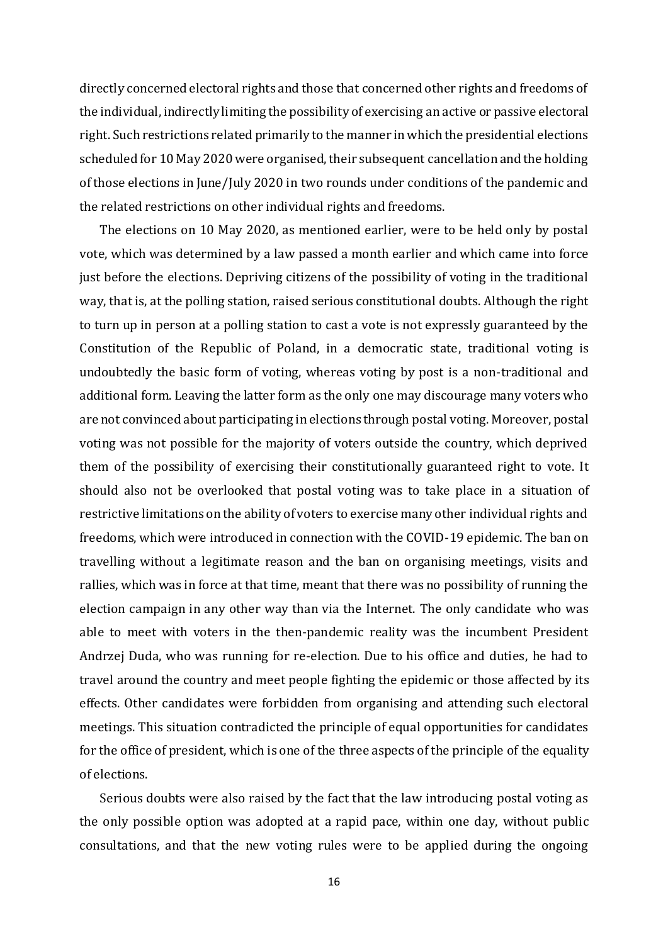directly concerned electoral rights and those that concerned other rights and freedoms of the individual, indirectly limiting the possibility of exercising an active or passive electoral right. Such restrictions related primarily to the manner in which the presidential elections scheduled for 10 May 2020 were organised, their subsequent cancellation and the holding of those elections in June/July 2020 in two rounds under conditions of the pandemic and the related restrictions on other individual rights and freedoms.

The elections on 10 May 2020, as mentioned earlier, were to be held only by postal vote, which was determined by a law passed a month earlier and which came into force just before the elections. Depriving citizens of the possibility of voting in the traditional way, that is, at the polling station, raised serious constitutional doubts. Although the right to turn up in person at a polling station to cast a vote is not expressly guaranteed by the Constitution of the Republic of Poland, in a democratic state, traditional voting is undoubtedly the basic form of voting, whereas voting by post is a non-traditional and additional form. Leaving the latter form as the only one may discourage many voters who are not convinced about participating in elections through postal voting. Moreover, postal voting was not possible for the majority of voters outside the country, which deprived them of the possibility of exercising their constitutionally guaranteed right to vote. It should also not be overlooked that postal voting was to take place in a situation of restrictive limitations on the ability of voters to exercise many other individual rights and freedoms, which were introduced in connection with the COVID-19 epidemic. The ban on travelling without a legitimate reason and the ban on organising meetings, visits and rallies, which was in force at that time, meant that there was no possibility of running the election campaign in any other way than via the Internet. The only candidate who was able to meet with voters in the then-pandemic reality was the incumbent President Andrzej Duda, who was running for re-election. Due to his office and duties, he had to travel around the country and meet people fighting the epidemic or those affected by its effects. Other candidates were forbidden from organising and attending such electoral meetings. This situation contradicted the principle of equal opportunities for candidates for the office of president, which is one of the three aspects of the principle of the equality of elections.

Serious doubts were also raised by the fact that the law introducing postal voting as the only possible option was adopted at a rapid pace, within one day, without public consultations, and that the new voting rules were to be applied during the ongoing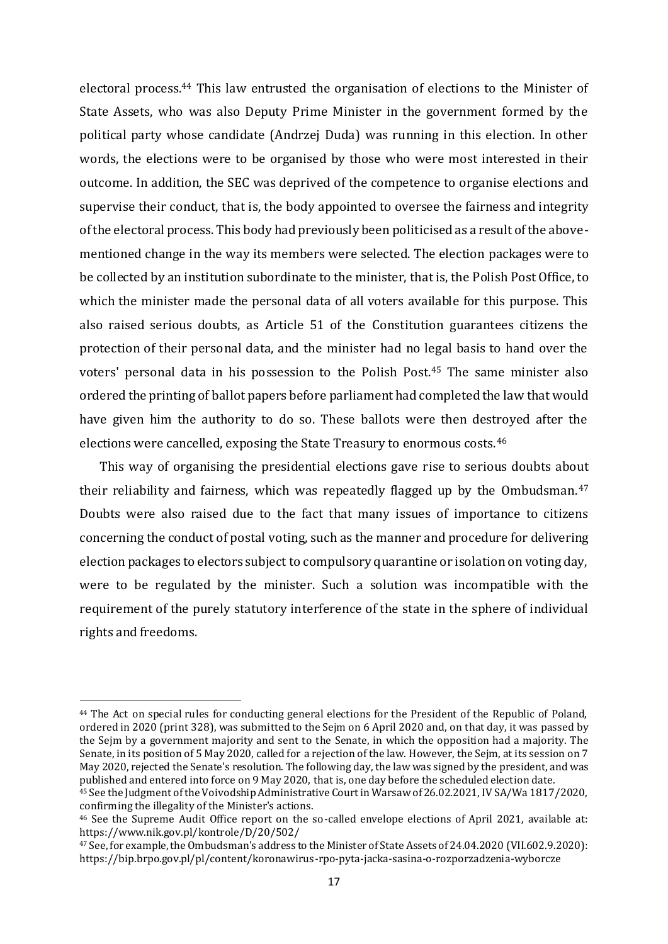electoral process.<sup>44</sup> This law entrusted the organisation of elections to the Minister of State Assets, who was also Deputy Prime Minister in the government formed by the political party whose candidate (Andrzej Duda) was running in this election. In other words, the elections were to be organised by those who were most interested in their outcome. In addition, the SEC was deprived of the competence to organise elections and supervise their conduct, that is, the body appointed to oversee the fairness and integrity of the electoral process. This body had previously been politicised as a result of the abovementioned change in the way its members were selected. The election packages were to be collected by an institution subordinate to the minister, that is, the Polish Post Office, to which the minister made the personal data of all voters available for this purpose. This also raised serious doubts, as Article 51 of the Constitution guarantees citizens the protection of their personal data, and the minister had no legal basis to hand over the voters' personal data in his possession to the Polish Post.<sup>45</sup> The same minister also ordered the printing of ballot papers before parliament had completed the law that would have given him the authority to do so. These ballots were then destroyed after the elections were cancelled, exposing the State Treasury to enormous costs. <sup>46</sup>

This way of organising the presidential elections gave rise to serious doubts about their reliability and fairness, which was repeatedly flagged up by the Ombudsman.<sup>47</sup> Doubts were also raised due to the fact that many issues of importance to citizens concerning the conduct of postal voting, such as the manner and procedure for delivering election packages to electors subject to compulsory quarantine or isolation on voting day, were to be regulated by the minister. Such a solution was incompatible with the requirement of the purely statutory interference of the state in the sphere of individual rights and freedoms.

<sup>44</sup> The Act on special rules for conducting general elections for the President of the Republic of Poland, ordered in 2020 (print 328), was submitted to the Sejm on 6 April 2020 and, on that day, it was passed by the Sejm by a government majority and sent to the Senate, in which the opposition had a majority. The Senate, in its position of 5 May 2020, called for a rejection of the law. However, the Sejm, at its session on 7 May 2020, rejected the Senate's resolution. The following day, the law was signed by the president, and was published and entered into force on 9 May 2020, that is, one day before the scheduled election date.

<sup>45</sup> See the Judgment of the Voivodship Administrative Court in Warsaw of 26.02.2021, IV SA/Wa 1817/2020, confirming the illegality of the Minister's actions.

<sup>46</sup> See the Supreme Audit Office report on the so-called envelope elections of April 2021, available at: https://www.nik.gov.pl/kontrole/D/20/502/

<sup>47</sup> See, for example, the Ombudsman's address to the Minister of State Assets of 24.04.2020 (VII.602.9.2020): https://bip.brpo.gov.pl/pl/content/koronawirus-rpo-pyta-jacka-sasina-o-rozporzadzenia-wyborcze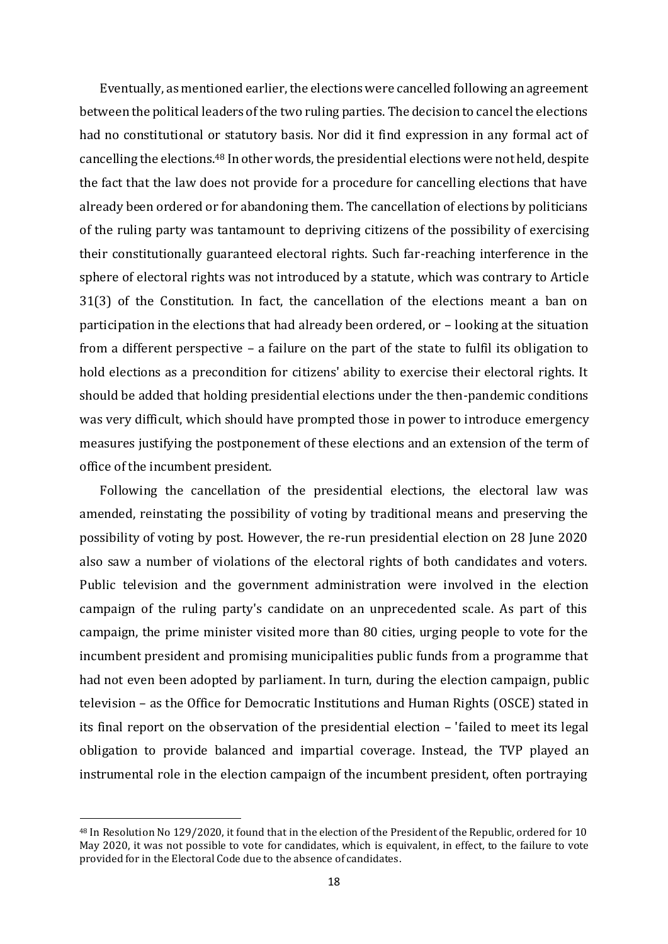Eventually, as mentioned earlier, the elections were cancelled following an agreement between the political leaders of the two ruling parties. The decision to cancel the elections had no constitutional or statutory basis. Nor did it find expression in any formal act of cancelling the elections.<sup>48</sup> In other words, the presidential elections were not held, despite the fact that the law does not provide for a procedure for cancelling elections that have already been ordered or for abandoning them. The cancellation of elections by politicians of the ruling party was tantamount to depriving citizens of the possibility of exercising their constitutionally guaranteed electoral rights. Such far-reaching interference in the sphere of electoral rights was not introduced by a statute, which was contrary to Article 31(3) of the Constitution. In fact, the cancellation of the elections meant a ban on participation in the elections that had already been ordered, or – looking at the situation from a different perspective – a failure on the part of the state to fulfil its obligation to hold elections as a precondition for citizens' ability to exercise their electoral rights. It should be added that holding presidential elections under the then-pandemic conditions was very difficult, which should have prompted those in power to introduce emergency measures justifying the postponement of these elections and an extension of the term of office of the incumbent president.

Following the cancellation of the presidential elections, the electoral law was amended, reinstating the possibility of voting by traditional means and preserving the possibility of voting by post. However, the re-run presidential election on 28 June 2020 also saw a number of violations of the electoral rights of both candidates and voters. Public television and the government administration were involved in the election campaign of the ruling party's candidate on an unprecedented scale. As part of this campaign, the prime minister visited more than 80 cities, urging people to vote for the incumbent president and promising municipalities public funds from a programme that had not even been adopted by parliament. In turn, during the election campaign, public television – as the Office for Democratic Institutions and Human Rights (OSCE) stated in its final report on the observation of the presidential election – 'failed to meet its legal obligation to provide balanced and impartial coverage. Instead, the TVP played an instrumental role in the election campaign of the incumbent president, often portraying

<sup>48</sup> In Resolution No 129/2020, it found that in the election of the President of the Republic, ordered for 10 May 2020, it was not possible to vote for candidates, which is equivalent, in effect, to the failure to vote provided for in the Electoral Code due to the absence of candidates.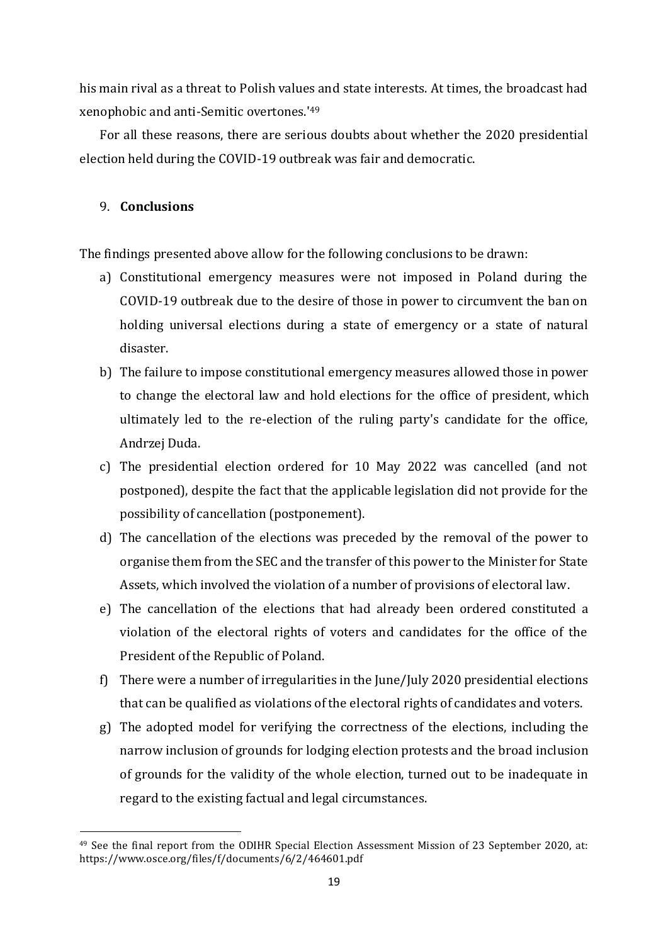his main rival as a threat to Polish values and state interests. At times, the broadcast had xenophobic and anti-Semitic overtones.' 49

For all these reasons, there are serious doubts about whether the 2020 presidential election held during the COVID-19 outbreak was fair and democratic.

## 9. **Conclusions**

 $\overline{a}$ 

The findings presented above allow for the following conclusions to be drawn:

- a) Constitutional emergency measures were not imposed in Poland during the COVID-19 outbreak due to the desire of those in power to circumvent the ban on holding universal elections during a state of emergency or a state of natural disaster.
- b) The failure to impose constitutional emergency measures allowed those in power to change the electoral law and hold elections for the office of president, which ultimately led to the re-election of the ruling party's candidate for the office, Andrzej Duda.
- c) The presidential election ordered for 10 May 2022 was cancelled (and not postponed), despite the fact that the applicable legislation did not provide for the possibility of cancellation (postponement).
- d) The cancellation of the elections was preceded by the removal of the power to organise them from the SEC and the transfer of this power to the Minister for State Assets, which involved the violation of a number of provisions of electoral law.
- e) The cancellation of the elections that had already been ordered constituted a violation of the electoral rights of voters and candidates for the office of the President of the Republic of Poland.
- f) There were a number of irregularities in the June/July 2020 presidential elections that can be qualified as violations of the electoral rights of candidates and voters.
- g) The adopted model for verifying the correctness of the elections, including the narrow inclusion of grounds for lodging election protests and the broad inclusion of grounds for the validity of the whole election, turned out to be inadequate in regard to the existing factual and legal circumstances.

<sup>49</sup> See the final report from the ODIHR Special Election Assessment Mission of 23 September 2020, at: https://www.osce.org/files/f/documents/6/2/464601.pdf